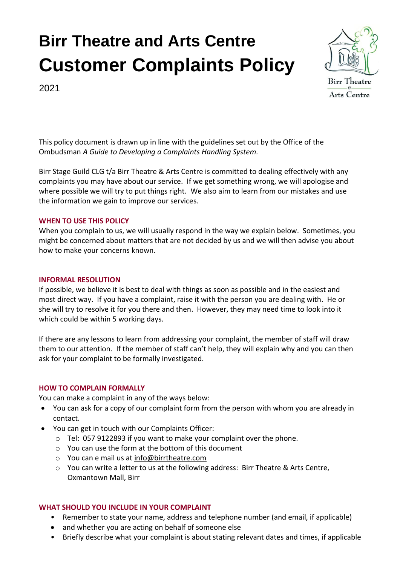

2021

This policy document is drawn up in line with the guidelines set out by the Office of the Ombudsman *A Guide to Developing a Complaints Handling System.*

Birr Stage Guild CLG t/a Birr Theatre & Arts Centre is committed to dealing effectively with any complaints you may have about our service. If we get something wrong, we will apologise and where possible we will try to put things right. We also aim to learn from our mistakes and use the information we gain to improve our services.

### **WHEN TO USE THIS POLICY**

When you complain to us, we will usually respond in the way we explain below. Sometimes, you might be concerned about matters that are not decided by us and we will then advise you about how to make your concerns known.

#### **INFORMAL RESOLUTION**

If possible, we believe it is best to deal with things as soon as possible and in the easiest and most direct way. If you have a complaint, raise it with the person you are dealing with. He or she will try to resolve it for you there and then. However, they may need time to look into it which could be within 5 working days.

If there are any lessons to learn from addressing your complaint, the member of staff will draw them to our attention. If the member of staff can't help, they will explain why and you can then ask for your complaint to be formally investigated.

#### **HOW TO COMPLAIN FORMALLY**

You can make a complaint in any of the ways below:

- You can ask for a copy of our complaint form from the person with whom you are already in contact.
- You can get in touch with our Complaints Officer:
	- o Tel: 057 9122893 if you want to make your complaint over the phone.
	- o You can use the form at the bottom of this document
	- o You can e mail us at [info@birrtheatre.com](mailto:info@birrtheatre.com)
	- o You can write a letter to us at the following address: Birr Theatre & Arts Centre, Oxmantown Mall, Birr

#### **WHAT SHOULD YOU INCLUDE IN YOUR COMPLAINT**

- Remember to state your name, address and telephone number (and email, if applicable)
- and whether you are acting on behalf of someone else
- Briefly describe what your complaint is about stating relevant dates and times, if applicable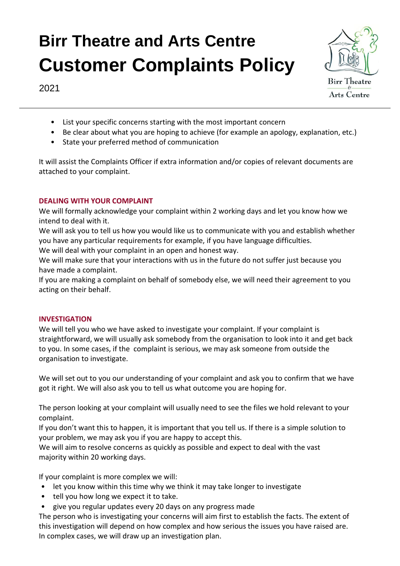

2021

- List your specific concerns starting with the most important concern
- Be clear about what you are hoping to achieve (for example an apology, explanation, etc.)
- State your preferred method of communication

It will assist the Complaints Officer if extra information and/or copies of relevant documents are attached to your complaint.

### **DEALING WITH YOUR COMPLAINT**

We will formally acknowledge your complaint within 2 working days and let you know how we intend to deal with it.

We will ask you to tell us how you would like us to communicate with you and establish whether you have any particular requirements for example, if you have language difficulties.

We will deal with your complaint in an open and honest way.

We will make sure that your interactions with us in the future do not suffer just because you have made a complaint.

If you are making a complaint on behalf of somebody else, we will need their agreement to you acting on their behalf.

### **INVESTIGATION**

We will tell you who we have asked to investigate your complaint. If your complaint is straightforward, we will usually ask somebody from the organisation to look into it and get back to you. In some cases, if the complaint is serious, we may ask someone from outside the organisation to investigate.

We will set out to you our understanding of your complaint and ask you to confirm that we have got it right. We will also ask you to tell us what outcome you are hoping for.

The person looking at your complaint will usually need to see the files we hold relevant to your complaint.

If you don't want this to happen, it is important that you tell us. If there is a simple solution to your problem, we may ask you if you are happy to accept this.

We will aim to resolve concerns as quickly as possible and expect to deal with the vast majority within 20 working days.

If your complaint is more complex we will:

- let you know within this time why we think it may take longer to investigate
- tell you how long we expect it to take.
- give you regular updates every 20 days on any progress made

The person who is investigating your concerns will aim first to establish the facts. The extent of this investigation will depend on how complex and how serious the issues you have raised are. In complex cases, we will draw up an investigation plan.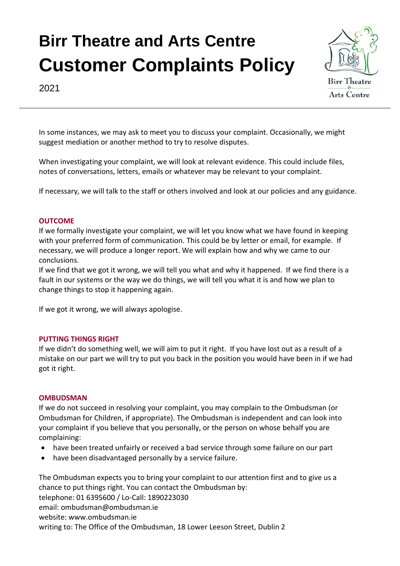

2021

In some instances, we may ask to meet you to discuss your complaint. Occasionally, we might suggest mediation or another method to try to resolve disputes.

When investigating your complaint, we will look at relevant evidence. This could include files, notes of conversations, letters, emails or whatever may be relevant to your complaint.

If necessary, we will talk to the staff or others involved and look at our policies and any guidance.

#### **OUTCOME**

If we formally investigate your complaint, we will let you know what we have found in keeping with your preferred form of communication. This could be by letter or email, for example. If necessary, we will produce a longer report. We will explain how and why we came to our conclusions.

If we find that we got it wrong, we will tell you what and why it happened. If we find there is a fault in our systems or the way we do things, we will tell you what it is and how we plan to change things to stop it happening again.

If we got it wrong, we will always apologise.

#### **PUTTING THINGS RIGHT**

If we didn't do something well, we will aim to put it right. If you have lost out as a result of a mistake on our part we will try to put you back in the position you would have been in if we had got it right.

#### **OMBUDSMAN**

If we do not succeed in resolving your complaint, you may complain to the Ombudsman (or Ombudsman for Children, if appropriate). The Ombudsman is independent and can look into your complaint if you believe that you personally, or the person on whose behalf you are complaining:

- have been treated unfairly or received a bad service through some failure on our part
- have been disadvantaged personally by a service failure.

The Ombudsman expects you to bring your complaint to our attention first and to give us a chance to put things right. You can contact the Ombudsman by: telephone: 01 6395600 / Lo-Call: 1890223030 email: ombudsman@ombudsman.ie website: www.ombudsman.ie writing to: The Office of the Ombudsman, 18 Lower Leeson Street, Dublin 2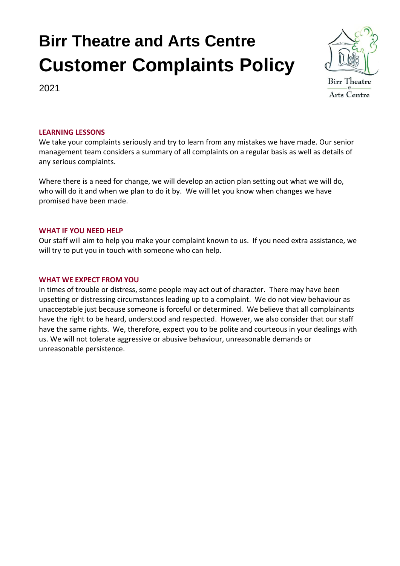

2021

#### **LEARNING LESSONS**

We take your complaints seriously and try to learn from any mistakes we have made. Our senior management team considers a summary of all complaints on a regular basis as well as details of any serious complaints.

Where there is a need for change, we will develop an action plan setting out what we will do, who will do it and when we plan to do it by. We will let you know when changes we have promised have been made.

#### **WHAT IF YOU NEED HELP**

Our staff will aim to help you make your complaint known to us. If you need extra assistance, we will try to put you in touch with someone who can help.

#### **WHAT WE EXPECT FROM YOU**

In times of trouble or distress, some people may act out of character. There may have been upsetting or distressing circumstances leading up to a complaint. We do not view behaviour as unacceptable just because someone is forceful or determined. We believe that all complainants have the right to be heard, understood and respected. However, we also consider that our staff have the same rights. We, therefore, expect you to be polite and courteous in your dealings with us. We will not tolerate aggressive or abusive behaviour, unreasonable demands or unreasonable persistence.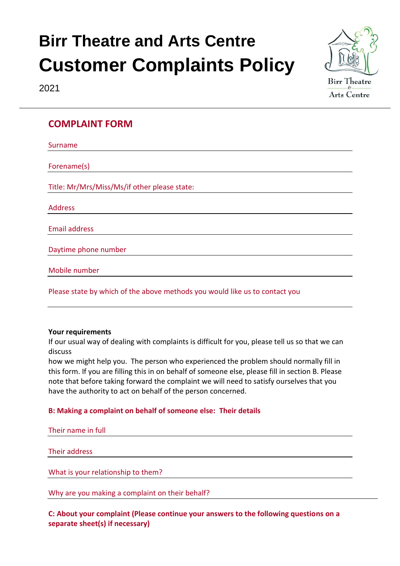



### **COMPLAINT FORM**

| Surname                                                                     |
|-----------------------------------------------------------------------------|
|                                                                             |
| Forename(s)                                                                 |
| Title: Mr/Mrs/Miss/Ms/if other please state:                                |
| <b>Address</b>                                                              |
| <b>Email address</b>                                                        |
| Daytime phone number                                                        |
| Mobile number                                                               |
| Please state by which of the above methods you would like us to contact you |

### **Your requirements**

If our usual way of dealing with complaints is difficult for you, please tell us so that we can discuss

how we might help you. The person who experienced the problem should normally fill in this form. If you are filling this in on behalf of someone else, please fill in section B. Please note that before taking forward the complaint we will need to satisfy ourselves that you have the authority to act on behalf of the person concerned.

### **B: Making a complaint on behalf of someone else: Their details**

Their name in full

Their address

What is your relationship to them?

Why are you making a complaint on their behalf?

**C: About your complaint (Please continue your answers to the following questions on a separate sheet(s) if necessary)**